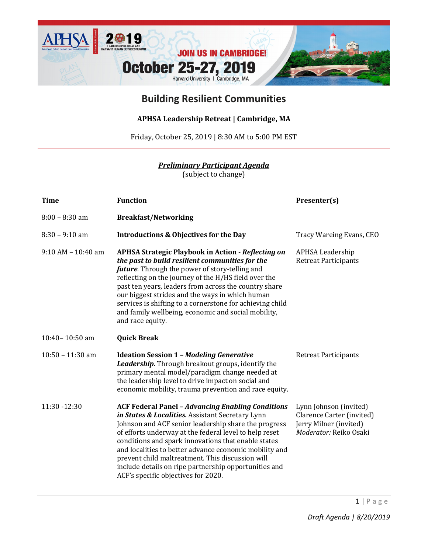

## **Building Resilient Communities**

## **APHSA Leadership Retreat | Cambridge, MA**

Friday, October 25, 2019 | 8:30 AM to 5:00 PM EST

## *Preliminary Participant Agenda*

(subject to change)

| <b>Time</b>           | <b>Function</b>                                                                                                                                                                                                                                                                                                                                                                                                                                                                                     | Presenter(s)                                                                                            |
|-----------------------|-----------------------------------------------------------------------------------------------------------------------------------------------------------------------------------------------------------------------------------------------------------------------------------------------------------------------------------------------------------------------------------------------------------------------------------------------------------------------------------------------------|---------------------------------------------------------------------------------------------------------|
| $8:00 - 8:30$ am      | <b>Breakfast/Networking</b>                                                                                                                                                                                                                                                                                                                                                                                                                                                                         |                                                                                                         |
| $8:30 - 9:10$ am      | <b>Introductions &amp; Objectives for the Day</b>                                                                                                                                                                                                                                                                                                                                                                                                                                                   | Tracy Wareing Evans, CEO                                                                                |
| $9:10$ AM $-10:40$ am | APHSA Strategic Playbook in Action - Reflecting on<br>the past to build resilient communities for the<br>future. Through the power of story-telling and<br>reflecting on the journey of the H/HS field over the<br>past ten years, leaders from across the country share<br>our biggest strides and the ways in which human<br>services is shifting to a cornerstone for achieving child<br>and family wellbeing, economic and social mobility,<br>and race equity.                                 | APHSA Leadership<br><b>Retreat Participants</b>                                                         |
| 10:40-10:50 am        | <b>Quick Break</b>                                                                                                                                                                                                                                                                                                                                                                                                                                                                                  |                                                                                                         |
| $10:50 - 11:30$ am    | <b>Ideation Session 1 - Modeling Generative</b><br>Leadership. Through breakout groups, identify the<br>primary mental model/paradigm change needed at<br>the leadership level to drive impact on social and<br>economic mobility, trauma prevention and race equity.                                                                                                                                                                                                                               | <b>Retreat Participants</b>                                                                             |
| 11:30 - 12:30         | <b>ACF Federal Panel - Advancing Enabling Conditions</b><br>in States & Localities. Assistant Secretary Lynn<br>Johnson and ACF senior leadership share the progress<br>of efforts underway at the federal level to help reset<br>conditions and spark innovations that enable states<br>and localities to better advance economic mobility and<br>prevent child maltreatment. This discussion will<br>include details on ripe partnership opportunities and<br>ACF's specific objectives for 2020. | Lynn Johnson (invited)<br>Clarence Carter (invited)<br>Jerry Milner (invited)<br>Moderator: Reiko Osaki |

1 | Page